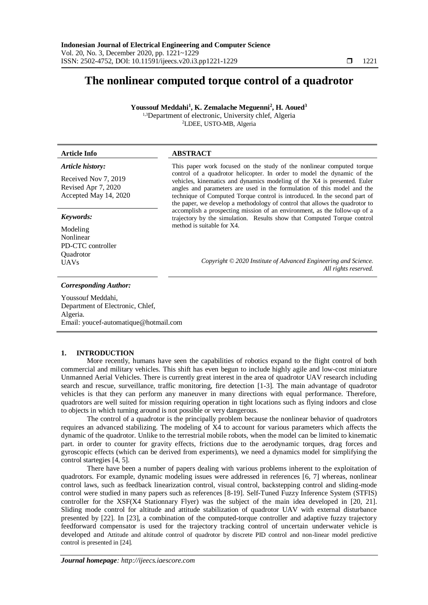# **The nonlinear computed torque control of a quadrotor**

**Youssouf Meddahi<sup>1</sup> , K. Zemalache Meguenni<sup>2</sup> , H. Aoued<sup>3</sup>** <sup>1,3</sup>Department of electronic, University chlef, Algeria <sup>2</sup>LDEE, USTO-MB, Algeria

# **Article Info ABSTRACT**

### *Article history:*

Received Nov 7, 2019 Revised Apr 7, 2020 Accepted May 14, 2020

### *Keywords:*

Modeling Nonlinear PD-CTC controller **Ouadrotor** 

This paper work focused on the study of the nonlinear computed torque control of a quadrotor helicopter. In order to model the dynamic of the vehicles, kinematics and dynamics modeling of the X4 is presented. Euler angles and parameters are used in the formulation of this model and the technique of Computed Torque control is introduced. In the second part of the paper, we develop a methodology of control that allows the quadrotor to accomplish a prospecting mission of an environment, as the follow-up of a trajectory by the simulation. Results show that Computed Torque control method is suitable for X4.

UAVs *Copyright © 2020 Institute of Advanced Engineering and Science. All rights reserved.*

## *Corresponding Author:*

Youssouf Meddahi, Department of Electronic, Chlef, Algeria. Email: [youcef-automatique@hotmail.com](mailto:youcef-automatique@hotmail.com)

# **1. INTRODUCTION**

More recently, humans have seen the capabilities of robotics expand to the flight control of both commercial and military vehicles. This shift has even begun to include highly agile and low-cost miniature Unmanned Aerial Vehicles. There is currently great interest in the area of quadrotor UAV research including search and rescue, surveillance, traffic monitoring, fire detection [1-3]. The main advantage of quadrotor vehicles is that they can perform any maneuver in many directions with equal performance. Therefore, quadrotors are well suited for mission requiring operation in tight locations such as flying indoors and close to objects in which turning around is not possible or very dangerous.

The control of a quadrotor is the principally problem because the nonlinear behavior of quadrotors requires an advanced stabilizing. The modeling of X4 to account for various parameters which affects the dynamic of the quadrotor. Unlike to the terrestrial mobile robots, when the model can be limited to kinematic part. in order to counter for gravity effects, frictions due to the aerodynamic torques, drag forces and gyroscopic effects (which can be derived from experiments), we need a dynamics model for simplifying the control startegies [4, 5].

There have been a number of papers dealing with various problems inherent to the exploitation of quadrotors. For example, dynamic modeling issues were addressed in references [6, 7] whereas, nonlinear control laws, such as feedback linearization control, visual control, backstepping control and sliding-mode control were studied in many papers such as references [8-19]. Self-Tuned Fuzzy Inference System (STFIS) controller for the XSF(X4 Stationnary Flyer) was the subject of the main idea developed in [20, 21]. Sliding mode control for altitude and attitude stabilization of quadrotor UAV with external disturbance presented by [22]. In [23], a combination of the computed-torque controller and adaptive fuzzy trajectory feedforward compensator is used for the trajectory tracking control of uncertain underwater vehicle is developed and Attitude and altitude control of quadrotor by discrete PID control and non-linear model predictive control is presented in [24].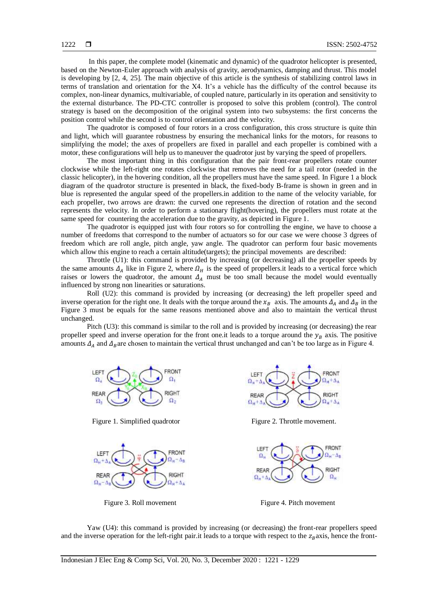In this paper, the complete model (kinematic and dynamic) of the quadrotor helicopter is presented, based on the Newton-Euler approach with analysis of gravity, aerodynamics, damping and thrust. This model is developing by [2, 4, 25]. The main objective of this article is the synthesis of stabilizing control laws in terms of translation and orientation for the X4. It's a vehicle has the difficulty of the control because its complex, non-linear dynamics, multivariable, of coupled nature, particularly in its operation and sensitivity to the external disturbance. The PD-CTC controller is proposed to solve this problem (control). The control strategy is based on the decomposition of the original system into two subsystems: the first concerns the position control while the second is to control orientation and the velocity.

The quadrotor is composed of four rotors in a cross configuration, this cross structure is quite thin and light, which will guarantee robustness by ensuring the mechanical links for the motors, for reasons to simplifying the model; the axes of propellers are fixed in parallel and each propeller is combined with a motor, these configurations will help us to maneuver the quadrotor just by varying the speed of propellers.

The most important thing in this configuration that the pair front-rear propellers rotate counter clockwise while the left-right one rotates clockwise that removes the need for a tail rotor (needed in the classic helicopter), in the hovering condition, all the propellers must have the same speed. In Figure 1 a block diagram of the quadrotor structure is presented in black, the fixed-body B-frame is shown in green and in blue is represented the angular speed of the propellers.in addition to the name of the velocity variable, for each propeller, two arrows are drawn: the curved one represents the direction of rotation and the second represents the velocity. In order to perform a stationary flight(hovering), the propellers must rotate at the same speed for countering the acceleration due to the gravity, as depicted in Figure 1.

The quadrotor is equipped just with four rotors so for controlling the engine, we have to choose a number of freedoms that correspond to the number of actuators so for our case we were choose 3 dgrees of freedom which are roll angle, pitch angle, yaw angle. The quadrotor can perform four basic movements which allow this engine to reach a certain altitude (targets); the principal movements are described:

Throttle (U1): this command is provided by increasing (or decreasing) all the propeller speeds by the same amounts  $\Delta_A$  like in Figure 2, where  $\Omega_H$  is the speed of propellers.it leads to a vertical force which raises or lowers the quadrotor, the amount  $\Delta_A$  must be too small because the model would eventually influenced by strong non linearities or saturations.

Roll (U2): this command is provided by increasing (or decreasing) the left propeller speed and inverse operation for the right one. It deals with the torque around the  $x_R$  axis. The amounts  $\Delta_A$  and  $\Delta_B$  in the Figure 3 must be equals for the same reasons mentioned above and also to maintain the vertical thrust unchanged.

Pitch (U3): this command is similar to the roll and is provided by increasing (or decreasing) the rear propeller speed and inverse operation for the front one.it leads to a torque around the  $y_B$  axis. The positive amounts  $\Delta_A$  and  $\Delta_B$  are chosen to maintain the vertical thrust unchanged and can't be too large as in Figure 4.



Figure 1. Simplified quadrotor Figure 2. Throttle movement.







Figure 3. Roll movement Figure 4. Pitch movement

Yaw (U4): this command is provided by increasing (or decreasing) the front-rear propellers speed and the inverse operation for the left-right pair.it leads to a torque with respect to the  $z<sub>R</sub> axis$ , hence the front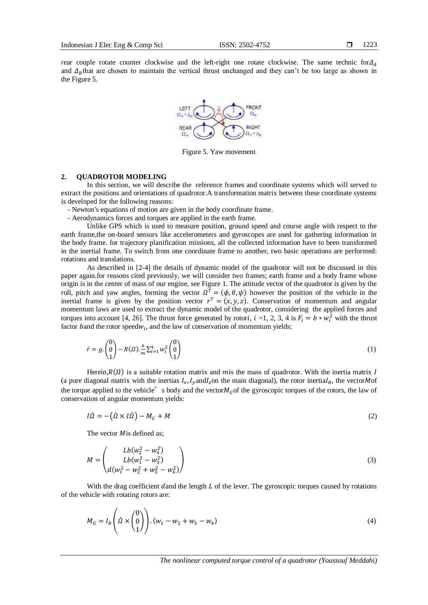rear couple rotate counter clockwise and the left-right one rotate clockwise. The same technic for  $\Delta_A$ and  $\Delta_R$  that are chosen to maintain the vertical thrust unchanged and they can't be too large as shown in the Figure 5.



Figure 5. Yaw movement

# **2. QUADROTOR MODELING**

In this section, we will describe the reference frames and coordinate systems which will served to extract the positions and orientations of quadrotor.A transformation matrix between these coordinate systems is developed for the following reasons:

- Newton's equations of motion are given in the body coordinate frame.

- Aerodynamics forces and torques are applied in the earth frame.

Unlike GPS which is used to measure position, ground speed and course angle with respect to the earth frame,the on-board sensors like accelerometers and gyroscopes are used for gathering information in the body frame. for trajectory planification missions, all the collected information have to been transformed in the inertial frame. To switch from one coordinate frame to another, two basic operations are performed: rotations and translations.

As described in [2-4] the details of dynamic model of the quadrotor will not be discussed in this paper again.for reasons cited previously, we will consider two frames; earth frame and a body frame whose origin is in the center of mass of our engine, see Figure 1. The attitude vector of the quadrotor is given by the roll, pitch and yaw angles, forming the vector  $\Omega^T = (\phi, \theta, \psi)$  however the position of the vehicle in the inertial frame is given by the position vector  $r^T = (x, y, z)$ . Conservation of momentum and angular momentum laws are used to extract the dynamic model of the quadrotor, considering the applied forces and torques into account [4, 26]. The thrust force generated by rotori,  $i = 1, 2, 3, 4$  is  $F_i = b * w_i^2$  with the thrust factor band the rotor speed $w_i$ , and the law of conservation of momentum yields;

$$
\dot{r} = g. \begin{pmatrix} 0 \\ 0 \\ 1 \end{pmatrix} - R(\Omega). \frac{b}{m} \sum_{i=1}^{4} w_i^2 \begin{pmatrix} 0 \\ 0 \\ 1 \end{pmatrix}
$$
 (1)

Herein, $R(\Omega)$  is a suitable rotation matrix and mis the mass of quadrotor. With the inertia matrix I (a pure diagonal matrix with the inertias  $I_x$ ,  $I_y$  and  $I_z$  on the main diagonal), the rotor inertial<sub>R</sub>, the vectorMof the torque applied to the vehicle's body and the vector  $M_G$  of the gyroscopic torques of the rotors, the law of conservation of angular momentum yields:

$$
I\dot{\Omega} = -(\dot{\Omega} \times I\dot{\Omega}) - M_G + M \tag{2}
$$

The vector  $M$  is defined as;

$$
M = \begin{pmatrix} Lb(w_2^2 - w_4^2) \\ Lb(w_1^2 - w_3^2) \\ d(w_1^2 - w_2^2 + w_3^2 - w_4^2) \end{pmatrix}
$$
 (3)

With the drag coefficient dand the length  $L$  of the lever. The gyroscopic torques caused by rotations of the vehicle with rotating rotors are:

$$
M_G = I_R \left( \dot{\Omega} \times \begin{pmatrix} 0 \\ 0 \\ 1 \end{pmatrix} \right) . (w_1 - w_2 + w_3 - w_4)
$$
 (4)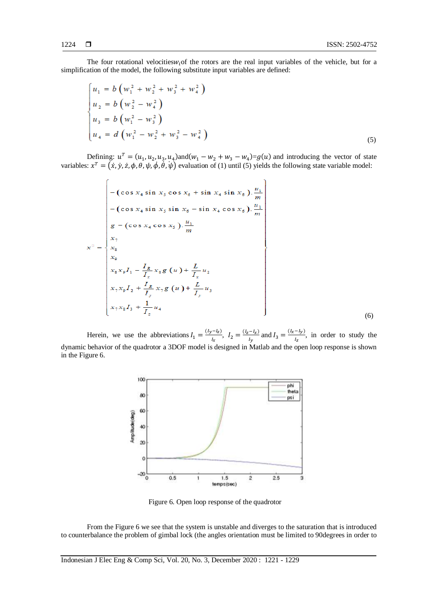The four rotational velocities  $w_i$  of the rotors are the real input variables of the vehicle, but for a simplification of the model, the following substitute input variables are defined:

$$
\begin{cases}\n u_1 = b \left( w_1^2 + w_2^2 + w_3^2 + w_4^2 \right) \\
 u_2 = b \left( w_2^2 - w_4^2 \right) \\
 u_3 = b \left( w_1^2 - w_3^2 \right) \\
 u_4 = d \left( w_1^2 - w_2^2 + w_3^2 - w_4^2 \right)\n\end{cases} \tag{5}
$$

Defining:  $u^T = (u_1, u_2, u_3, u_4)$  and  $(w_1 - w_2 + w_3 - w_4) = g(u)$  and introducing the vector of state variables:  $x^T = (\dot{x}, \dot{y}, \dot{z}, \phi, \theta, \psi, \dot{\phi}, \dot{\theta}, \dot{\psi})$  evaluation of (1) until (5) yields the following state variable model:

$$
\begin{bmatrix}\n-(\cos x_4 \sin x_5 \cos x_6 + \sin x_4 \sin x_6) \cdot \frac{u_1}{m} \\
-(\cos x_4 \sin x_5 \sin x_6 - \sin x_4 \cos x_6) \cdot \frac{u_1}{m} \\
g - (\cos x_4 \cos x_5) \cdot \frac{u_1}{m} \\
x_7 \\
x_8 \\
x_9 \\
x_8x_9 I_1 - \frac{I_R}{I_x} x_8 g (u) + \frac{L}{I_x} u_2 \\
x_7x_9 I_2 + \frac{I_R}{I_y} x_7 g (u) + \frac{L}{I_y} u_3 \\
x_7x_8 I_3 + \frac{1}{I_z} u_4\n\end{bmatrix}
$$
\n(6)

Herein, we use the abbreviations  $I_1 = \frac{(I_y - I_z)}{I_z}$  $\frac{I_z - I_z}{I_x}$ ,  $I_z = \frac{(I_z - I_x)}{I_y}$  $\frac{(-I_x)}{I_y}$  and  $I_3 = \frac{(I_x - I_y)}{I_z}$  $\frac{qy}{I_z}$ , in order to study the dynamic behavior of the quadrotor a 3DOF model is designed in Matlab and the open loop response is shown in the Figure 6.



Figure 6. Open loop response of the quadrotor

From the Figure 6 we see that the system is unstable and diverges to the saturation that is introduced to counterbalance the problem of gimbal lock (the angles orientation must be limited to 90degrees in order to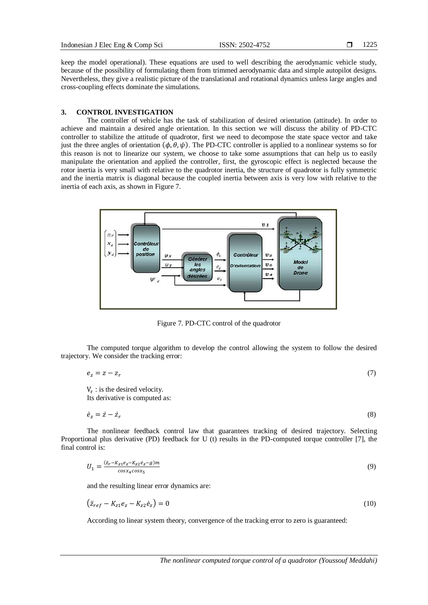keep the model operational). These equations are used to well describing the aerodynamic vehicle study, because of the possibility of formulating them from trimmed aerodynamic data and simple autopilot designs. Nevertheless, they give a realistic picture of the translational and rotational dynamics unless large angles and cross-coupling effects dominate the simulations.

# **3. CONTROL INVESTIGATION**

The controller of vehicle has the task of stabilization of desired orientation (attitude). In order to achieve and maintain a desired angle orientation. In this section we will discuss the ability of PD-CTC controller to stabilize the attitude of quadrotor, first we need to decompose the state space vector and take just the three angles of orientation  $(\phi, \theta, \psi)$ . The PD-CTC controller is applied to a nonlinear systems so for this reason is not to linearize our system, we choose to take some assumptions that can help us to easily manipulate the orientation and applied the controller, first, the gyroscopic effect is neglected because the rotor inertia is very small with relative to the quadrotor inertia, the structure of quadrotor is fully symmetric and the inertia matrix is diagonal because the coupled inertia between axis is very low with relative to the inertia of each axis, as shown in Figure 7.



Figure 7. PD-CTC control of the quadrotor

The computed torque algorithm to develop the control allowing the system to follow the desired trajectory. We consider the tracking error:

$$
e_z = z - z_r \tag{7}
$$

 $V_r$ : is the desired velocity. Its derivative is computed as:

$$
\dot{e}_z = \dot{z} - \dot{z}_r \tag{8}
$$

The nonlinear feedback control law that guarantees tracking of desired trajectory. Selecting Proportional plus derivative (PD) feedback for U (t) results in the PD-computed torque controller [7], the final control is:

$$
U_1 = \frac{(z_r - K_{z1}e_z - K_{z2}e_z - g)m}{\cos x_4 \cos x_5} \tag{9}
$$

and the resulting linear error dynamics are:

$$
(\ddot{z}_{ref} - K_{z1}e_z - K_{z2}\dot{e}_z) = 0 \tag{10}
$$

According to linear system theory, convergence of the tracking error to zero is guaranteed: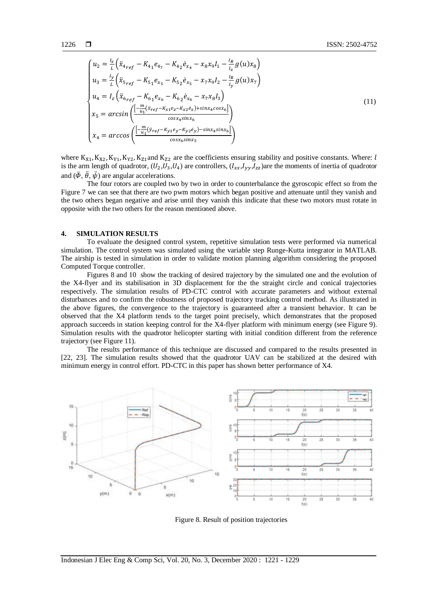$$
\begin{cases}\nu_2 = \frac{l_x}{L} \left( \ddot{x}_{4_{ref}} - K_{4_1} e_{4_7} - K_{4_2} \dot{e}_{x_4} - x_8 x_9 I_1 - \frac{l_R}{l_x} g(u) x_8 \right) \\
u_3 = \frac{l_y}{L} \left( \ddot{x}_{5_{ref}} - K_{5_1} e_{x_5} - K_{5_2} \dot{e}_{x_5} - x_7 x_9 I_2 - \frac{l_R}{l_y} g(u) x_7 \right) \\
u_4 = I_z \left( \ddot{x}_{6_{ref}} - K_{6_1} e_{x_6} - K_{6_2} \dot{e}_{x_6} - x_7 x_8 I_3 \right) \\
x_5 = \arcsin \left( \frac{\left[ -\frac{m}{u_1} (\dot{x}_{ref} - K_{x1} e_{z} - K_{x2} \dot{e}_{x}) + \sin x_4 \cos x_6 \right]}{\cos x_4 \sin x_6} \right) \\
x_4 = \arccos \left( \frac{\left[ -\frac{m}{u_1} (\dot{y}_{ref} - K_{y1} e_{y} - K_{y2} \dot{e}_{y}) - \sin x_4 \sin x_6 \right]}{\cos x_6 \sin x_5} \right)\n\end{cases}
$$
\n(11)

where  $K_{X1}$ ,  $K_{X2}$ ,  $K_{Y1}$ ,  $K_{Y2}$ ,  $K_{Z1}$  and  $K_{Z2}$  are the coefficients ensuring stability and positive constants. Where: l is the arm length of quadrotor,  $(U_2, U_3, U_4)$  are controllers,  $(I_{xx}, I_{yy}, I_{zz})$  are the moments of inertia of quadrotor and  $(\ddot{\phi}, \ddot{\theta}, \ddot{\psi})$  are angular accelerations.

The four rotors are coupled two by two in order to counterbalance the gyroscopic effect so from the Figure 7 we can see that there are two pwm motors which began positive and attenuate until they vanish and the two others began negative and arise until they vanish this indicate that these two motors must rotate in opposite with the two others for the reason mentioned above.

### **4. SIMULATION RESULTS**

To evaluate the designed control system, repetitive simulation tests were performed via numerical simulation. The control system was simulated using the variable step Runge-Kutta integrator in MATLAB. The airship is tested in simulation in order to validate motion planning algorithm considering the proposed Computed Torque controller.

Figures 8 and 10 show the tracking of desired trajectory by the simulated one and the evolution of the X4-flyer and its stabilisation in 3D displacement for the the straight circle and conical trajectories respectively. The simulation results of PD-CTC control with accurate parameters and without external disturbances and to confirm the robustness of proposed trajectory tracking control method. As illustrated in the above figures, the convergence to the trajectory is guaranteed after a transient behavior. It can be observed that the X4 platform tends to the target point precisely, which demonstrates that the proposed approach succeeds in station keeping control for the X4-flyer platform with minimum energy (see Figure 9). Simulation results with the quadrotor helicopter starting with initial condition different from the reference trajectory (see Figure 11).

The results performance of this technique are discussed and compared to the results presented in [22, 23]. The simulation results showed that the quadrotor UAV can be stabilized at the desired with minimum energy in control effort. PD-CTC in this paper has shown better performance of X4.



Figure 8. Result of position trajectories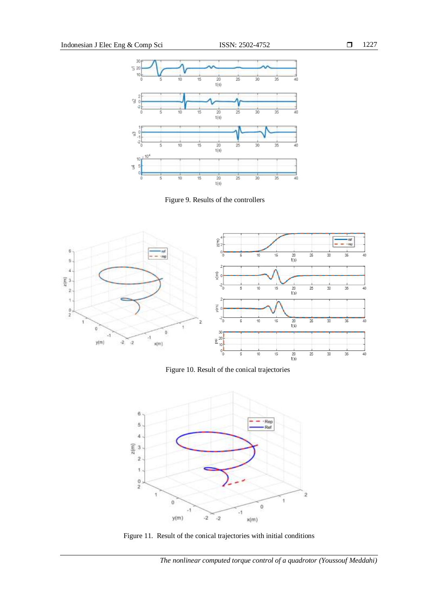

Figure 9. Results of the controllers



Figure 10. Result of the conical trajectories



Figure 11. Result of the conical trajectories with initial conditions

*The nonlinear computed torque control of a quadrotor (Youssouf Meddahi)*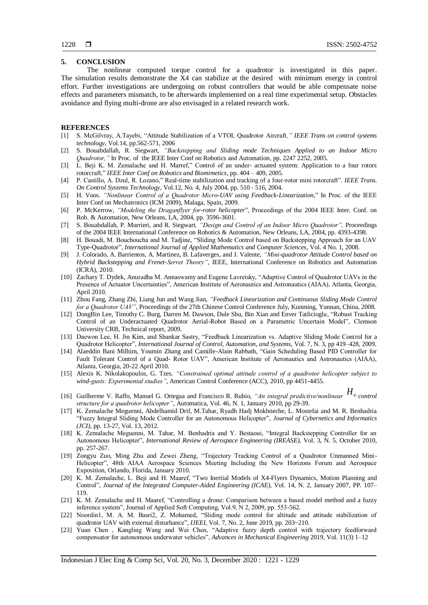## **5. CONCLUSION**

The nonlinear computed torque control for a quadrotor is investigated in this paper. The simulation results demonstrate the X4 can stabilize at the desired with minimum energy in control effort. Further investigations are undergoing on robust controllers that would be able compensate noise effects and parameters mismatch, to be afterwards implemented on a real time experimental setup. Obstacles avoidance and flying multi-drone are also envisaged in a related research work.

### **REFERENCES**

- [1] S. McGilvray, A.Tayebi, "Attitude Stabilization of a VTOL Quadrotor Aircraft*," IEEE Trans on control systems technology*, Vol.14, pp.562-571, 2006
- [2] S. Bouabdallah, R. Siegwart, *"Backstepping and Sliding mode Techniques Applied to an Indoor Micro Quadrotor,"* In Proc. of the IEEE Inter Conf on Robotics and Automation, pp. 2247 2252, 2005.
- [3] L. Beji K. M. Zemalache and H. Marref," Control of an under- actuated system: Application to a four rotors rotorcraft," *IEEE Inter Conf on Robotics and Biomimetics*, pp. 404 – 409, 2005.
- [4] P. Castillo, A. Dzul, R. Lozano," Real-time stabilization and tracking of a four-rotor mini rotorcraft". *IEEE Trans. On Control Systems Technology*, Vol.12, No. 4, July 2004, pp. 510 - 516, 2004.
- [5] H. Voos. *"Nonlinear Control of a Quadrotor Micro-UAV using Feedback-Linearization*," In Proc. of the IEEE Inter Conf on Mechatronics (ICM 2009), Malaga, Spain, 2009.
- [6] P. McKerrow, *"Modeling the Draganflyer for-rotor helicopter*", Proceedings of the 2004 IEEE Inter. Conf. on Rob. & Automation, New Orleans, LA, 2004, pp. 3596-3601.
- [7] S. Bouabdallah, P. Murrieri, and R. Siegwart*, "Design and Control of an Indoor Micro Quadrotor",* Proceedings of the 2004 IEEE International Conference on Robotics & Automation, New Orleans, LA, 2004, pp. 4393-4398.
- [8] H. Bouadi, M. Bouchoucha and M. Tadjine, "Sliding Mode Control based on Backstepping Approach for an UAV Type-Quadrotor", *International Journal of Applied Mathematics and Computer Sciences*, Vol. 4 No. 1, 2008.
- [9] J. Colorado, A. Barrientos, A. Martinez, B. Lafaverges, and J. Valente, *"Mini-quadrotor Attitude Control based on Hybrid Backstepping and Frenet-Serret Theory"*, IEEE, International Conference on Robotics and Automation (ICRA), 2010.
- [10] Zachary T. Dydek, Anuradha M. Annaswamy and Eugene Lavretsky, "Adaptive Control of Quadrotor UAVs in the Presence of Actuator Uncertainties", American Institute of Aeronautics and Astronautics (AIAA), Atlanta, Georgia, April 2010.
- [11] Zhou Fang, Zhang Zhi, Liang Jun and Wang Jian, *"Feedback Linearization and Continuous Sliding Mode Control for a Quadrotor UAV"*, Proceedings of the 27th Chinese Control Conference July, Kunming, Yunnan, China, 2008.
- [12] DongBin Lee, Timothy C. Burg, Darren M. Dawson, Dule Shu, Bin Xian and Enver Tatlicioglu, "Robust Tracking Control of an Underactuated Quadrotor Aerial-Robot Based on a Parametric Uncertain Model", Clemson University CRB, Technical report, 2009.
- [13] Daewon Lee, H. Jin Kim, and Shankar Sastry, "Feedback Linearization vs. Adaptive Sliding Mode Control for a Quadrotor Helicopter", *International Journal of Control, Automation, and Systems*, Vol. 7, N. 3, pp 419–428, 2009.
- [14] Alaeddin Bani Milhim, Youmin Zhang and Camille-Alain Rabbath, "Gain Scheduling Based PID Controller for Fault Tolerant Control of a Quad- Rotor UAV", American Institute of Aeronautics and Astronautics (AIAA), Atlanta, Georgia, 20-22 April 2010.
- [15] Alexis K. Nikolakopoulos, G. Tzes*, "Constrained optimal attitude control of a quadrotor helicopter subject to wind-gusts: Experimental studies"*, American Control Conference (ACC), 2010, pp 4451-4455.
- [16] Guilherme V. Raffo, Manuel G. Ortegaa and Francisco R. Rubio, *"An integral predictive/nonlinear H control structure for a quadrotor helicopter"*, Automatica, Vol. 46, N. 1, January 2010, pp 29-39.
- [17] K. Zemalache Meguenni, Abdelhamid Drif, M.Tahar, Ryadh Hadj Mokhneche, L. Mostefai and M. R. Benhadria "Fuzzy Integral Sliding Mode Controller for an Autonomous Helicopter", *Journal of Cybernetics and Informatics (JCI)*, pp. 13-27, Vol. 13, 2012.
- [18] K. Zemalache Meguenni, M. Tahar, M. Benhadria and Y. Bestaoui, "Integral Backstepping Controller for an Autonomous Helicopter", *International Review of Aerospace Engineering (IREASE),* Vol. 3, N. 5, October 2010, pp. 257-267.
- [19] Zongyu Zuo, Ming Zhu and Zewei Zheng, "Trajectory Tracking Control of a Quadrotor Unmanned Mini-Helicopter", 48th AIAA Aerospace Sciences Meeting Including the New Horizons Forum and Aerospace Exposition, Orlando, Florida, January 2010.
- [20] K. M. Zemalache, L. Beji and H. Maaref, "Two Inertial Models of X4-Flyers Dynamics, Motion Planning and Control", *Journal of the Integrated Computer-Aided Engineering (ICAE),* Vol. 14, N. 2, January 2007, PP. 107– 119.
- [21] K. M. Zemalache and H. Maaref, "Controlling a drone: Comparison between a based model method and a fuzzy inference system", Journal of Applied Soft Computing, Vol.9, N 2, 2009, pp. 553-562.
- [22] Noordin1, M. A. M. Basri2, Z. Mohamed, "Sliding mode control for altitude and attitude stabilization of quadrotor UAV with external disturbance", *IJEEI*, Vol. 7, No. 2, June 2019, pp. 203~210.
- [23] Yuan Chen , Kangling Wang and Wei Chen, "Adaptive fuzzy depth control with trajectory feedforward compensator for autonomous underwater vehicles", *Advances in Mechanical Engineering* 2019, Vol. 11(3) 1–12

Indonesian J Elec Eng & Comp Sci, Vol. 20, No. 3, December 2020 : 1221 - 1229